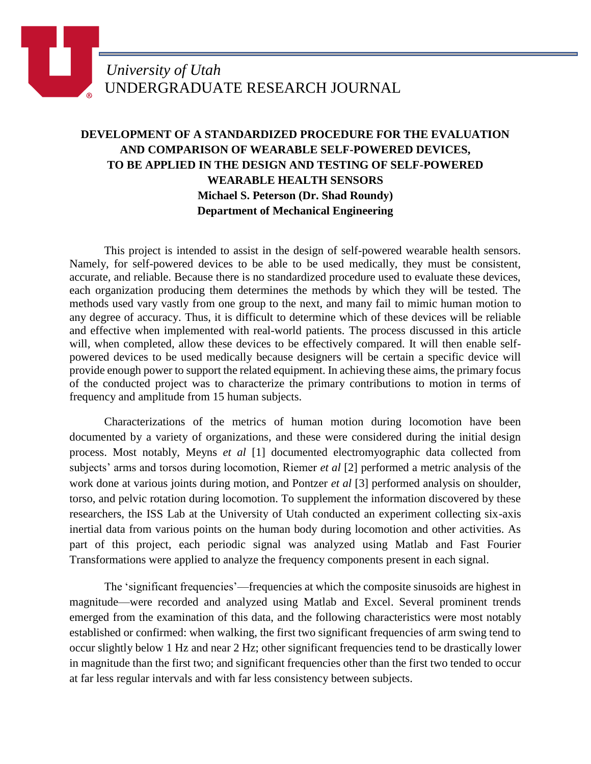## **DEVELOPMENT OF A STANDARDIZED PROCEDURE FOR THE EVALUATION AND COMPARISON OF WEARABLE SELF-POWERED DEVICES, TO BE APPLIED IN THE DESIGN AND TESTING OF SELF-POWERED WEARABLE HEALTH SENSORS Michael S. Peterson (Dr. Shad Roundy) Department of Mechanical Engineering**

This project is intended to assist in the design of self-powered wearable health sensors. Namely, for self-powered devices to be able to be used medically, they must be consistent, accurate, and reliable. Because there is no standardized procedure used to evaluate these devices, each organization producing them determines the methods by which they will be tested. The methods used vary vastly from one group to the next, and many fail to mimic human motion to any degree of accuracy. Thus, it is difficult to determine which of these devices will be reliable and effective when implemented with real-world patients. The process discussed in this article will, when completed, allow these devices to be effectively compared. It will then enable selfpowered devices to be used medically because designers will be certain a specific device will provide enough power to support the related equipment. In achieving these aims, the primary focus of the conducted project was to characterize the primary contributions to motion in terms of frequency and amplitude from 15 human subjects.

Characterizations of the metrics of human motion during locomotion have been documented by a variety of organizations, and these were considered during the initial design process. Most notably, Meyns *et al* [1] documented electromyographic data collected from subjects' arms and torsos during locomotion, Riemer *et al* [2] performed a metric analysis of the work done at various joints during motion, and Pontzer *et al* [3] performed analysis on shoulder, torso, and pelvic rotation during locomotion. To supplement the information discovered by these researchers, the ISS Lab at the University of Utah conducted an experiment collecting six-axis inertial data from various points on the human body during locomotion and other activities. As part of this project, each periodic signal was analyzed using Matlab and Fast Fourier Transformations were applied to analyze the frequency components present in each signal.

The 'significant frequencies'—frequencies at which the composite sinusoids are highest in magnitude—were recorded and analyzed using Matlab and Excel. Several prominent trends emerged from the examination of this data, and the following characteristics were most notably established or confirmed: when walking, the first two significant frequencies of arm swing tend to occur slightly below 1 Hz and near 2 Hz; other significant frequencies tend to be drastically lower in magnitude than the first two; and significant frequencies other than the first two tended to occur at far less regular intervals and with far less consistency between subjects.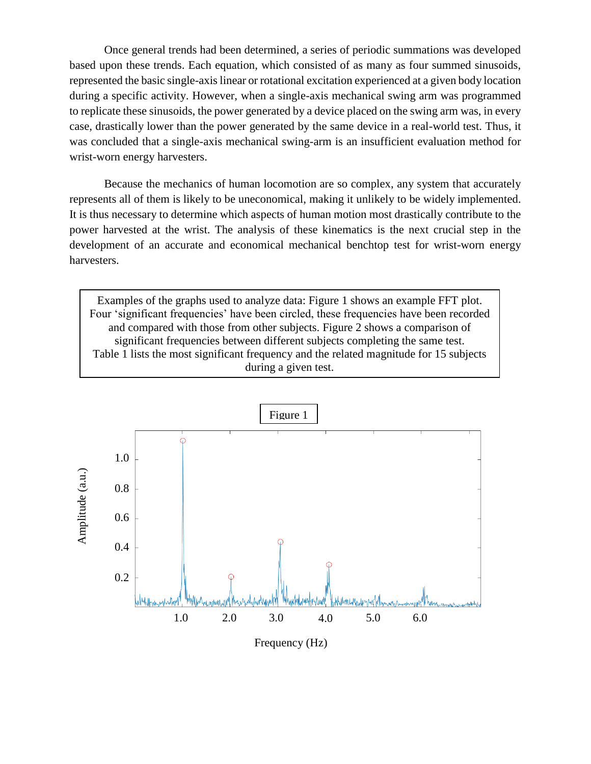Once general trends had been determined, a series of periodic summations was developed based upon these trends. Each equation, which consisted of as many as four summed sinusoids, represented the basic single-axis linear or rotational excitation experienced at a given body location during a specific activity. However, when a single-axis mechanical swing arm was programmed to replicate these sinusoids, the power generated by a device placed on the swing arm was, in every case, drastically lower than the power generated by the same device in a real-world test. Thus, it was concluded that a single-axis mechanical swing-arm is an insufficient evaluation method for wrist-worn energy harvesters.

Because the mechanics of human locomotion are so complex, any system that accurately represents all of them is likely to be uneconomical, making it unlikely to be widely implemented. It is thus necessary to determine which aspects of human motion most drastically contribute to the power harvested at the wrist. The analysis of these kinematics is the next crucial step in the development of an accurate and economical mechanical benchtop test for wrist-worn energy harvesters.

Examples of the graphs used to analyze data: Figure 1 shows an example FFT plot. Four 'significant frequencies' have been circled, these frequencies have been recorded and compared with those from other subjects. Figure 2 shows a comparison of significant frequencies between different subjects completing the same test. Table 1 lists the most significant frequency and the related magnitude for 15 subjects during a given test.



Frequency (Hz)